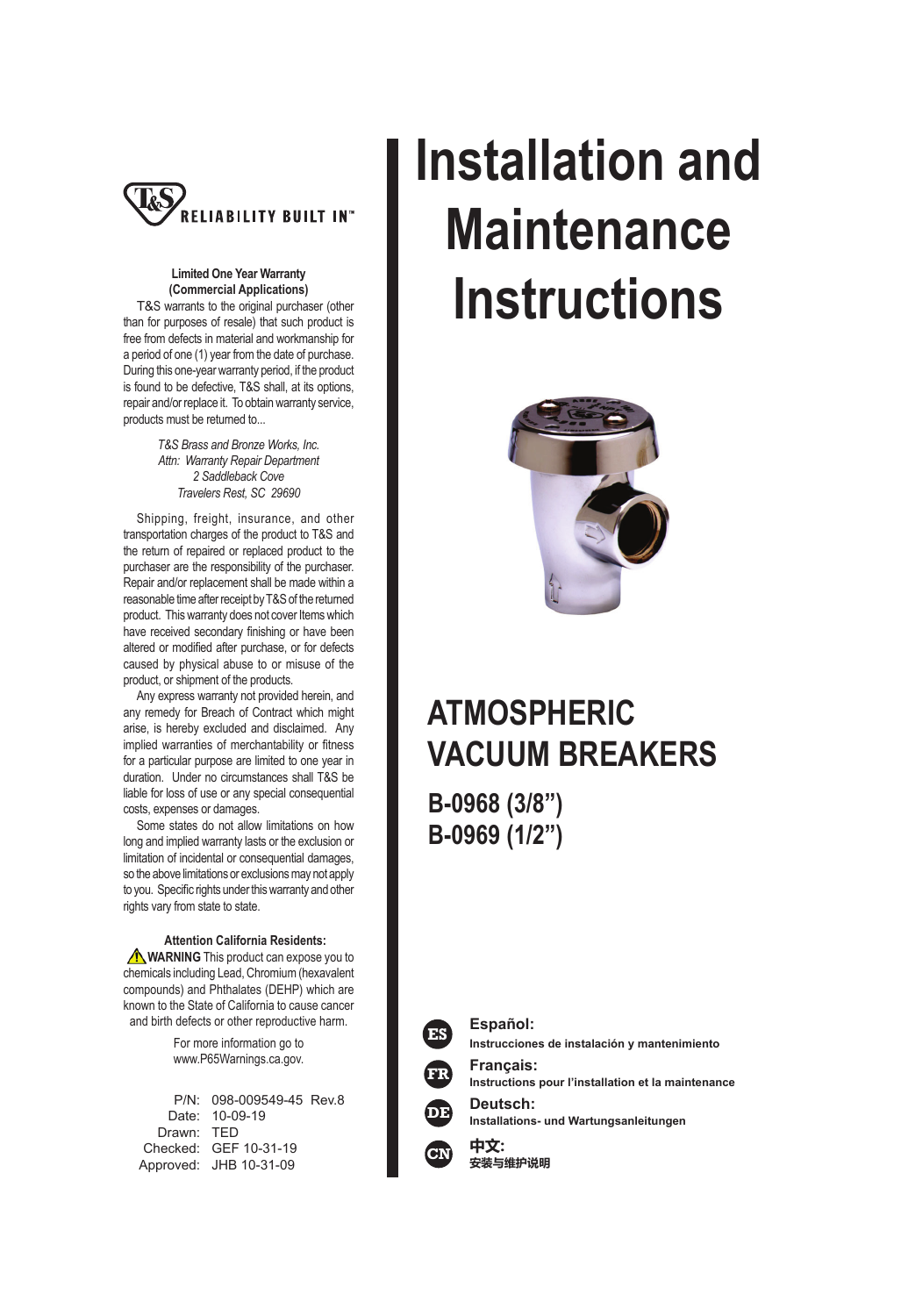

#### **Limited One Year Warranty (Commercial Applications)**

 T&S warrants to the original purchaser (other than for purposes of resale) that such product is free from defects in material and workmanship for a period of one (1) year from the date of purchase. During this one-year warranty period, if the product is found to be defective, T&S shall, at its options, repair and/or replace it. To obtain warranty service, products must be returned to...

> *T&S Brass and Bronze Works, Inc. Attn: Warranty Repair Department 2 Saddleback Cove Travelers Rest, SC 29690*

 Shipping, freight, insurance, and other transportation charges of the product to T&S and the return of repaired or replaced product to the purchaser are the responsibility of the purchaser. Repair and/or replacement shall be made within a reasonable time after receipt by T&S of the returned product. This warranty does not cover Items which have received secondary finishing or have been altered or modified after purchase, or for defects caused by physical abuse to or misuse of the product, or shipment of the products.

 Any express warranty not provided herein, and any remedy for Breach of Contract which might arise, is hereby excluded and disclaimed. Any implied warranties of merchantability or fitness for a particular purpose are limited to one year in duration. Under no circumstances shall T&S be liable for loss of use or any special consequential costs, expenses or damages.

 Some states do not allow limitations on how long and implied warranty lasts or the exclusion or limitation of incidental or consequential damages, so the above limitations or exclusions may not apply to you. Specific rights under this warranty and other rights vary from state to state.

#### **Attention California Residents:**

**WARNING** This product can expose you to chemicals including Lead, Chromium (hexavalent compounds) and Phthalates (DEHP) which are known to the State of California to cause cancer and birth defects or other reproductive harm.

> For more information go to www.P65Warnings.ca.gov.

|            | P/N: 098-009549-45 Rev.8 |  |
|------------|--------------------------|--|
|            | Date: 10-09-19           |  |
| Drawn: TFD |                          |  |
|            | Checked: GEF 10-31-19    |  |
|            | Approved: JHB 10-31-09   |  |
|            |                          |  |

# **Installation and Maintenance Instructions**



# **ATMOSPHERIC VACUUM BREAKERS**

**B-0968 (3/8") B-0969 (1/2")**



**Español: Instrucciones de instalación y mantenimiento**

**Français: Instructions pour l'installation et la maintenance**

**Deutsch: Installations- und Wartungsanleitungen**



**中文: 安装与维护说明**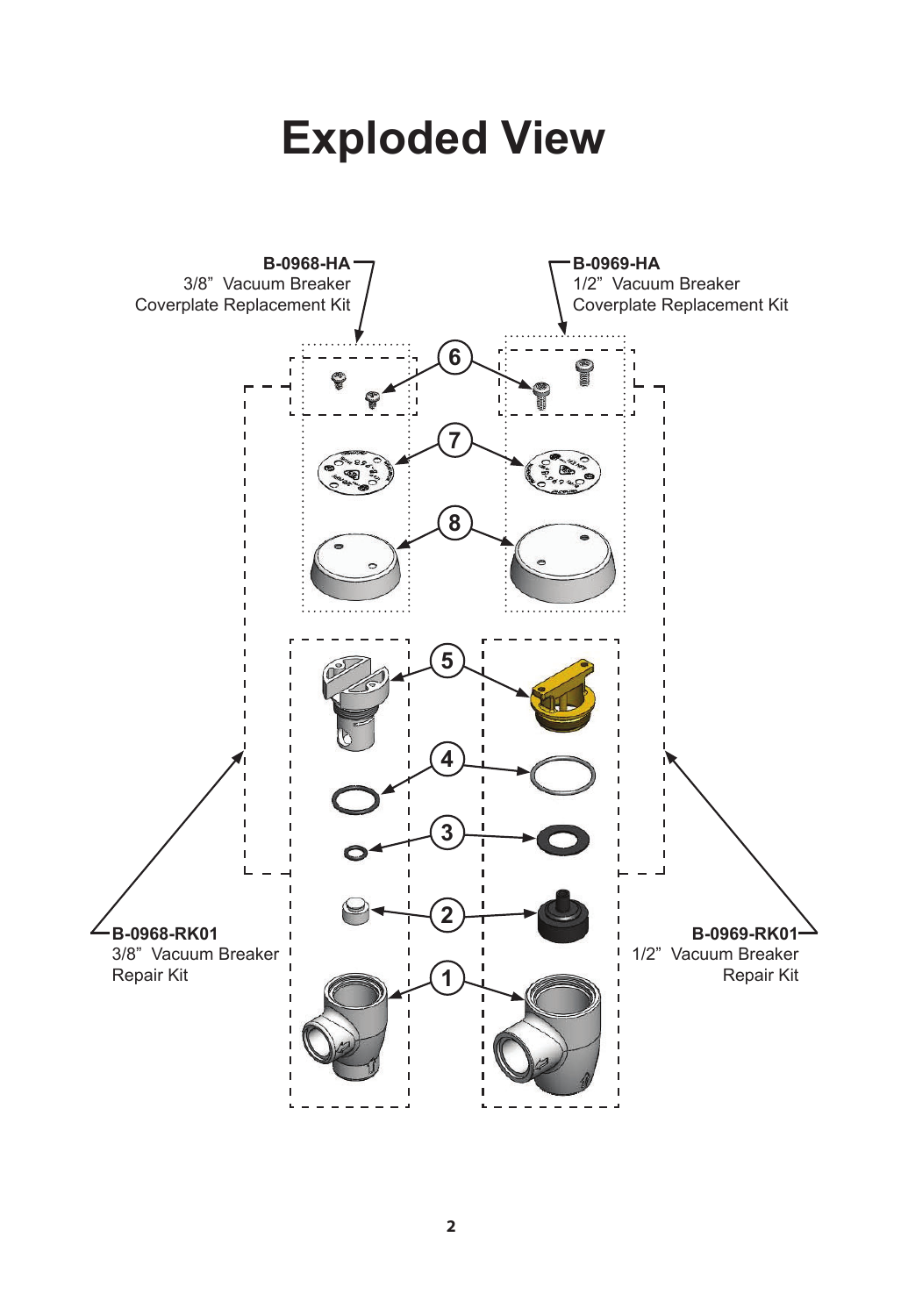# **Exploded View**

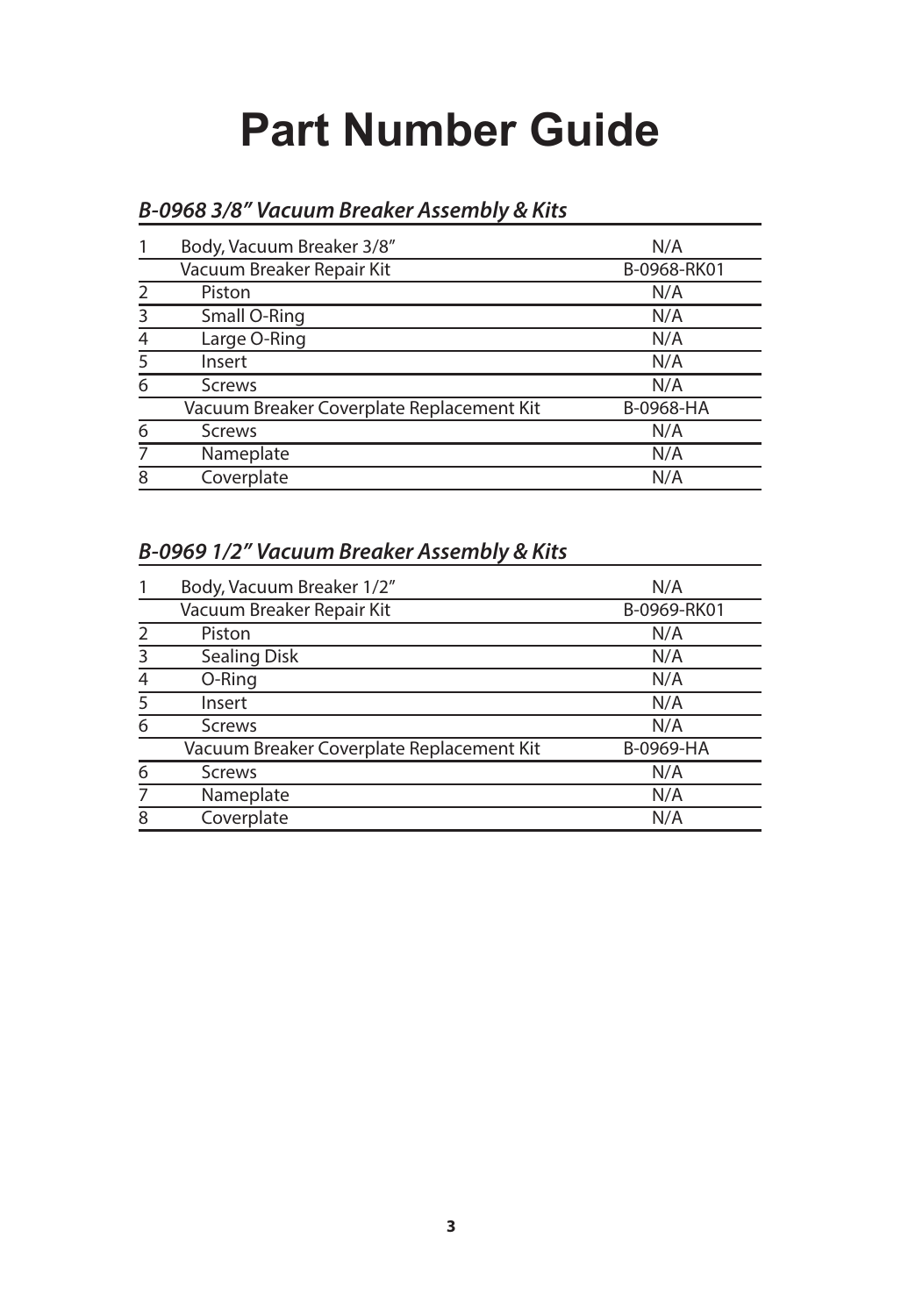# **Part Number Guide**

|                | Body, Vacuum Breaker 3/8"                 | N/A         |
|----------------|-------------------------------------------|-------------|
|                | Vacuum Breaker Repair Kit                 | B-0968-RK01 |
| $\mathcal{P}$  | Piston                                    | N/A         |
| 3              | Small O-Ring                              | N/A         |
| $\overline{4}$ | Large O-Ring                              | N/A         |
| 5              | Insert                                    | N/A         |
| 6              | <b>Screws</b>                             | N/A         |
|                | Vacuum Breaker Coverplate Replacement Kit | B-0968-HA   |
| 6              | <b>Screws</b>                             | N/A         |
| 7              | Nameplate                                 | N/A         |
| 8              | Coverplate                                | N/A         |

# **B-0968 3/8" Vacuum Breaker Assembly & Kits**

# **B-0969 1/2" Vacuum Breaker Assembly & Kits**

|               | Body, Vacuum Breaker 1/2"                 | N/A         |
|---------------|-------------------------------------------|-------------|
|               | Vacuum Breaker Repair Kit                 | B-0969-RK01 |
| $\mathcal{P}$ | Piston                                    | N/A         |
| 3             | Sealing Disk                              | N/A         |
| 4             | O-Ring                                    | N/A         |
| 5             | Insert                                    | N/A         |
| 6             | <b>Screws</b>                             | N/A         |
|               | Vacuum Breaker Coverplate Replacement Kit | B-0969-HA   |
| 6             | <b>Screws</b>                             | N/A         |
| 7             | Nameplate                                 | N/A         |
| 8             | Coverplate                                | N/A         |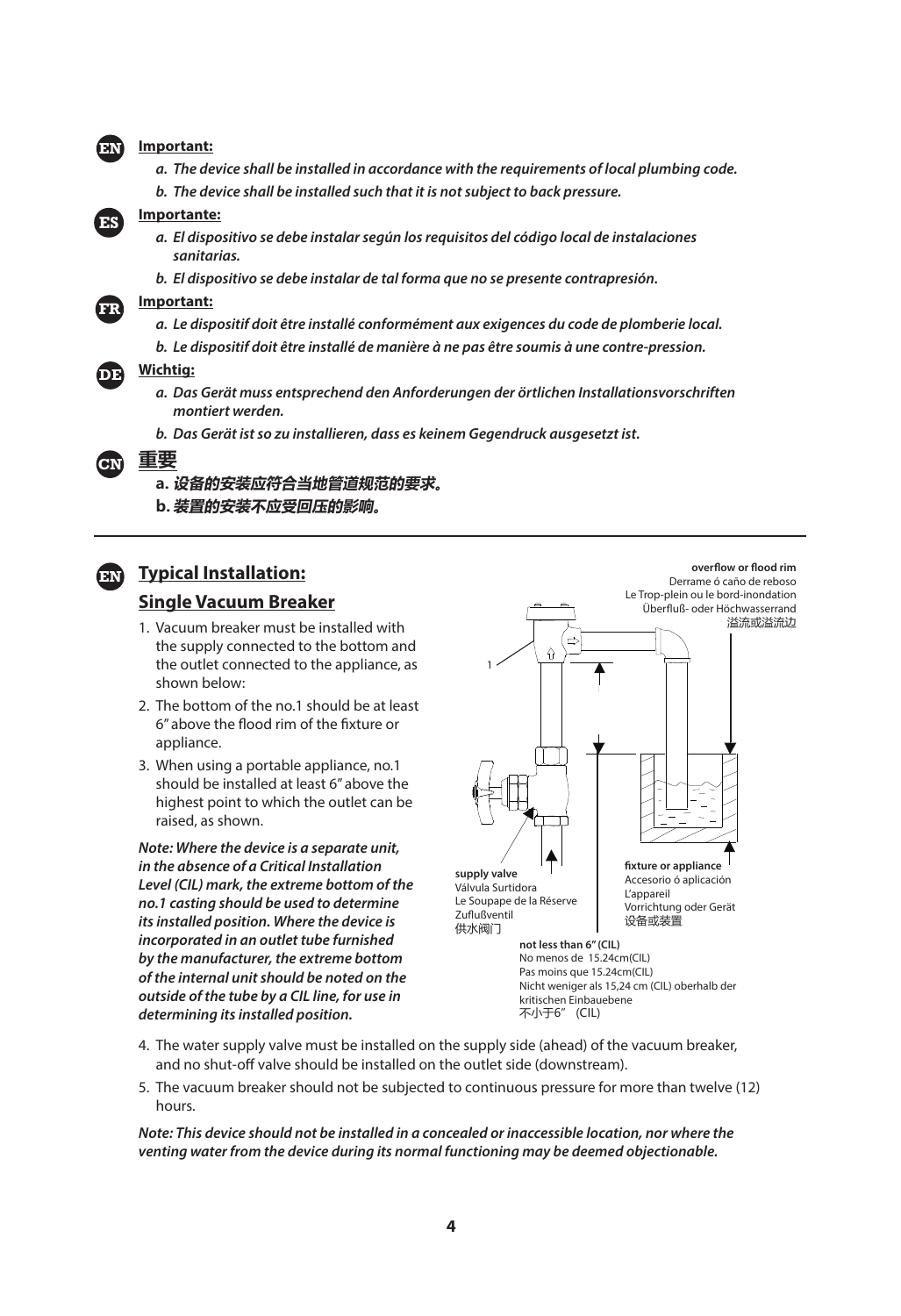#### **Important:**

- **a. The device shall be installed in accordance with the requirements of local plumbing code.**
- **b. The device shall be installed such that it is not subject to back pressure.**



**FR**

**EN**

- **Importante:**
	- **a. El dispositivo se debe instalar según los requisitos del código local de instalaciones sanitarias.**
	- **b. El dispositivo se debe instalar de tal forma que no se presente contrapresión.**

#### **Important:**

- **a. Le dispositif doit être installé conformément aux exigences du code de plomberie local.**
- **b. Le dispositif doit être installé de manière à ne pas être soumis à une contre-pression.**

#### **Wichtig: DE**

- **a. Das Gerät muss entsprechend den Anforderungen der örtlichen Installationsvorschriften montiert werden.**
- **b. Das Gerät ist so zu installieren, dass es keinem Gegendruck ausgesetzt ist.**
- **重要 CN**

#### **a. 设备的安装应符合当地管道规范的要求。**

**b. 装置的安装不应受回压的影响。**

### **Typical Installation: ENSingle Vacuum Breaker**

- 
- 1. Vacuum breaker must be installed with the supply connected to the bottom and the outlet connected to the appliance, as shown below:
- 2. The bottom of the no.1 should be at least 6" above the flood rim of the fixture or appliance.
- 3. When using a portable appliance, no.1 should be installed at least 6" above the highest point to which the outlet can be raised, as shown.

**Note: Where the device is a separate unit, in the absence of a Critical Installation Level (CIL) mark, the extreme bottom of the no.1 casting should be used to determine its installed position. Where the device is incorporated in an outlet tube furnished by the manufacturer, the extreme bottom of the internal unit should be noted on the outside of the tube by a CIL line, for use in determining its installed position.**



- 4. The water supply valve must be installed on the supply side (ahead) of the vacuum breaker, and no shut-off valve should be installed on the outlet side (downstream).
- 5. The vacuum breaker should not be subjected to continuous pressure for more than twelve (12) hours.

**Note: This device should not be installed in a concealed or inaccessible location, nor where the venting water from the device during its normal functioning may be deemed objectionable.**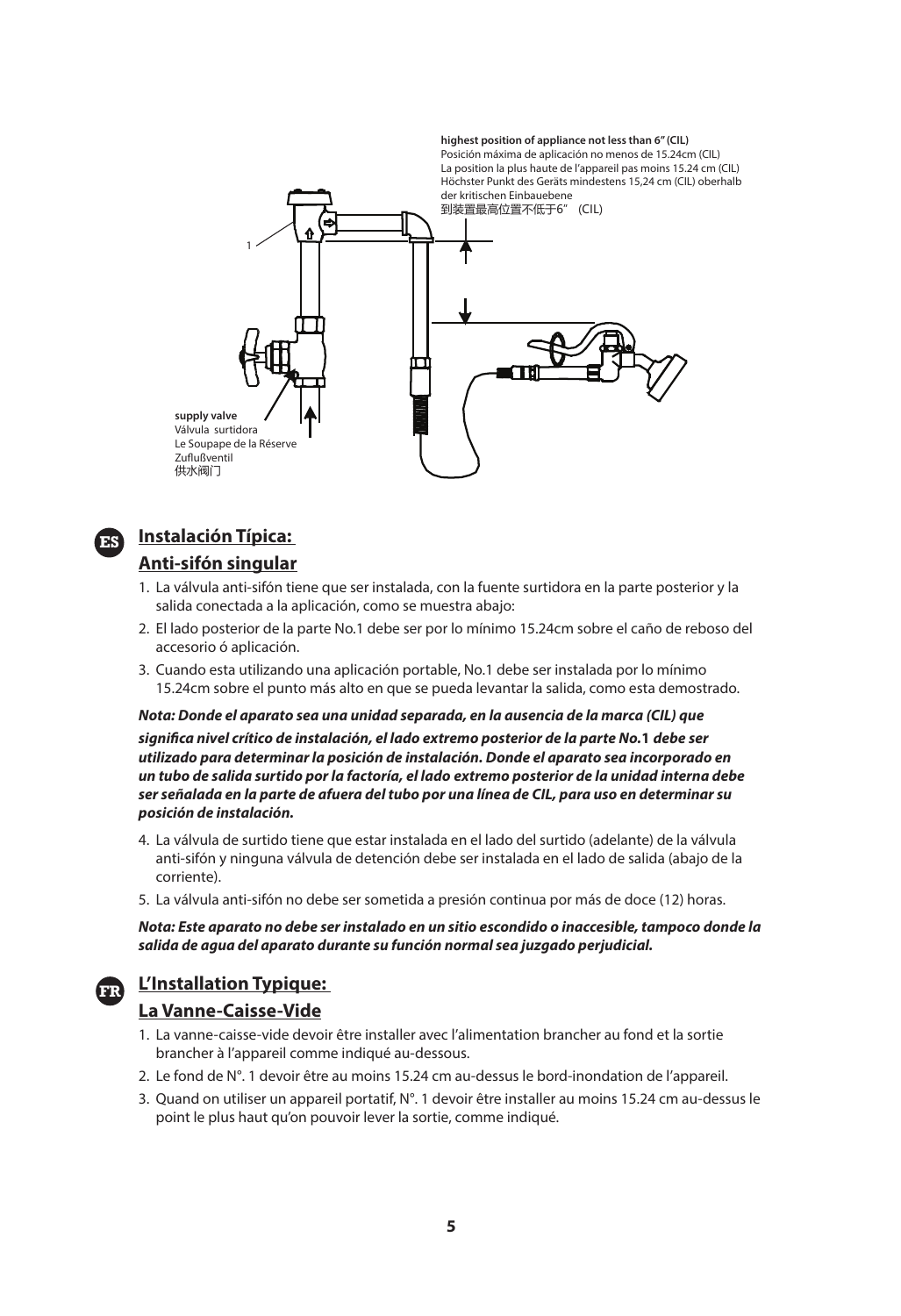



#### **Instalación Típica: Anti-sifón singular**

- 1. La válvula anti-sifón tiene que ser instalada, con la fuente surtidora en la parte posterior y la salida conectada a la aplicación, como se muestra abajo:
- 2. El lado posterior de la parte No.1 debe ser por lo mínimo 15.24cm sobre el caño de reboso del accesorio ó aplicación.
- 3. Cuando esta utilizando una aplicación portable, No.1 debe ser instalada por lo mínimo 15.24cm sobre el punto más alto en que se pueda levantar la salida, como esta demostrado.

#### **Nota: Donde el aparato sea una unidad separada, en la ausencia de la marca (CIL) que**

**signifi ca nivel crítico de instalación, el lado extremo posterior de la parte No.1 debe ser utilizado para determinar la posición de instalación. Donde el aparato sea incorporado en un tubo de salida surtido por la factoría, el lado extremo posterior de la unidad interna debe ser señalada en la parte de afuera del tubo por una línea de CIL, para uso en determinar su posición de instalación.**

- 4. La válvula de surtido tiene que estar instalada en el lado del surtido (adelante) de la válvula anti-sifón y ninguna válvula de detención debe ser instalada en el lado de salida (abajo de la corriente).
- 5. La válvula anti-sifón no debe ser sometida a presión continua por más de doce (12) horas.

**Nota: Este aparato no debe ser instalado en un sitio escondido o inaccesible, tampoco donde la salida de agua del aparato durante su función normal sea juzgado perjudicial.**

# **L'Installation Typique: FR**

#### **La Vanne-Caisse-Vide**

- 1. La vanne-caisse-vide devoir être installer avec l'alimentation brancher au fond et la sortie brancher à l'appareil comme indiqué au-dessous.
- 2. Le fond de N°. 1 devoir être au moins 15.24 cm au-dessus le bord-inondation de l'appareil.
- 3. Quand on utiliser un appareil portatif, N°. 1 devoir être installer au moins 15.24 cm au-dessus le point le plus haut qu'on pouvoir lever la sortie, comme indiqué.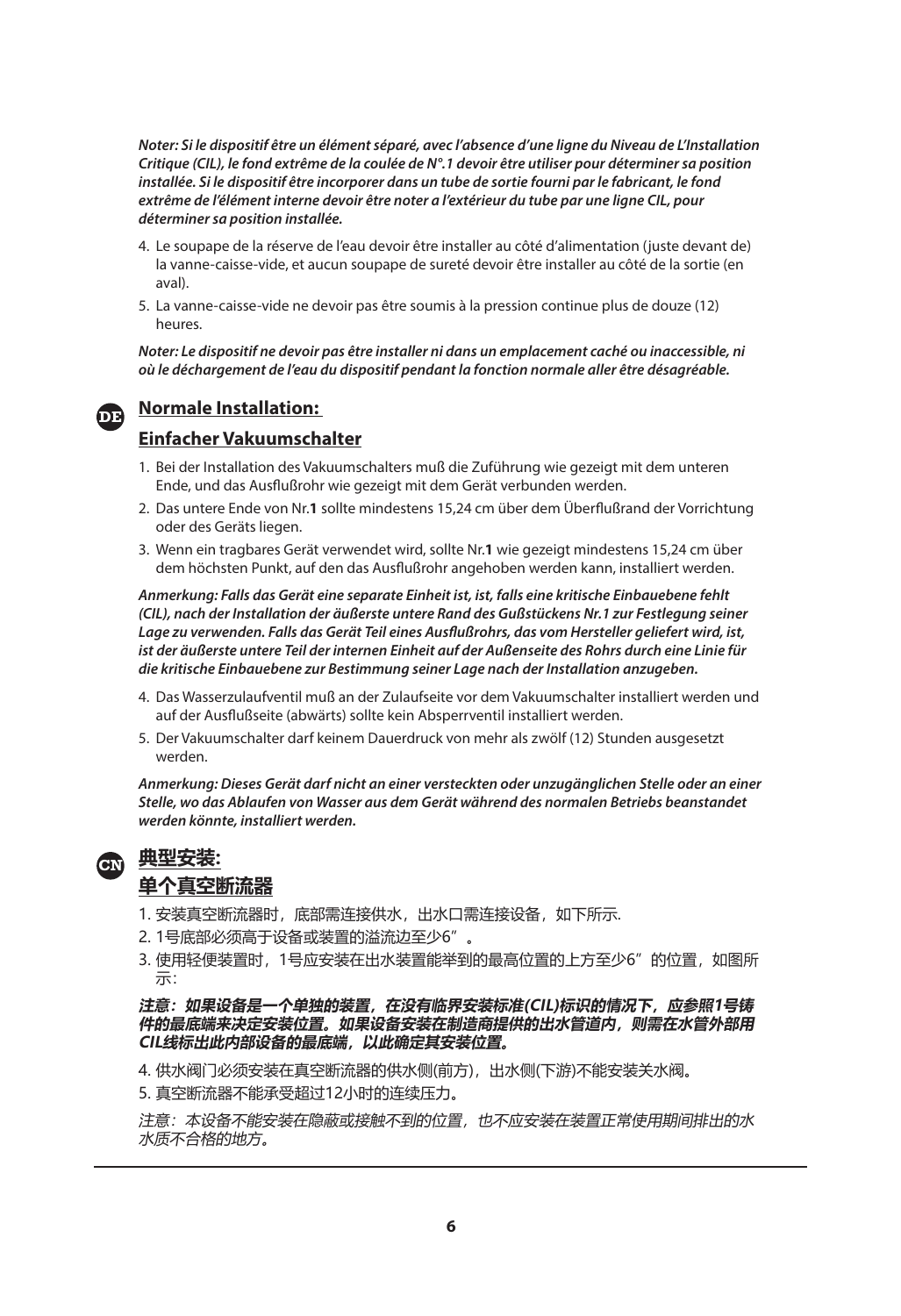**Noter: Si le dispositif être un élément séparé, avec l'absence d'une ligne du Niveau de L'Installation Critique (CIL), le fond extrême de la coulée de N°.1 devoir être utiliser pour déterminer sa position installée. Si le dispositif être incorporer dans un tube de sortie fourni par le fabricant, le fond extrême de l'élément interne devoir être noter a l'extérieur du tube par une ligne CIL, pour déterminer sa position installée.**

- 4. Le soupape de la réserve de l'eau devoir être installer au côté d'alimentation (juste devant de) la vanne-caisse-vide, et aucun soupape de sureté devoir être installer au côté de la sortie (en aval).
- 5. La vanne-caisse-vide ne devoir pas être soumis à la pression continue plus de douze (12) heures.

**Noter: Le dispositif ne devoir pas être installer ni dans un emplacement caché ou inaccessible, ni où le déchargement de l'eau du dispositif pendant la fonction normale aller être désagréable.**

### **Normale Installation:**

#### **Einfacher Vakuumschalter**

- 1. Bei der Installation des Vakuumschalters muß die Zuführung wie gezeigt mit dem unteren Ende, und das Ausflußrohr wie gezeigt mit dem Gerät verbunden werden.
- 2. Das untere Ende von Nr.1 sollte mindestens 15,24 cm über dem Überflußrand der Vorrichtung oder des Geräts liegen.
- 3. Wenn ein tragbares Gerät verwendet wird, sollte Nr.**1** wie gezeigt mindestens 15,24 cm über dem höchsten Punkt, auf den das Ausflußrohr angehoben werden kann, installiert werden.

**Anmerkung: Falls das Gerät eine separate Einheit ist, ist, falls eine kritische Einbauebene fehlt (CIL), nach der Installation der äußerste untere Rand des Gußstückens Nr.1 zur Festlegung seiner Lage zu verwenden. Falls das Gerät Teil eines Ausfl ußrohrs, das vom Hersteller geliefert wird, ist, ist der äußerste untere Teil der internen Einheit auf der Außenseite des Rohrs durch eine Linie für die kritische Einbauebene zur Bestimmung seiner Lage nach der Installation anzugeben.**

- 4. Das Wasserzulaufventil muß an der Zulaufseite vor dem Vakuumschalter installiert werden und auf der Ausflußseite (abwärts) sollte kein Absperrventil installiert werden.
- 5. Der Vakuumschalter darf keinem Dauerdruck von mehr als zwölf (12) Stunden ausgesetzt werden.

**Anmerkung: Dieses Gerät darf nicht an einer versteckten oder unzugänglichen Stelle oder an einer Stelle, wo das Ablaufen von Wasser aus dem Gerät während des normalen Betriebs beanstandet werden könnte, installiert werden.**

**典型安装: CN单个真空断流器**

- 1. 安装真空断流器时,底部需连接供水,出水口需连接设备, 如下所示.
- 2. 1号底部必须高于设备或装置的溢流边至少6"。
- 3. 使用轻便装置时, 1号应安装在出水装置能举到的最高位置的上方至少6″的位置, 如图所 示:

**注意:如果设备是一个单独的装置,在没有临界安装标准(CIL)标识的情况下,应参照1号铸 件的最底端来决定安装位置。如果设备安装在制造商提供的出水管道内,则需在水管外部用 CIL线标出此内部设备的最底端,以此确定其安装位置。**

- 4. 供水阀门必须安装在真空断流器的供水侧(前方),出水侧(下游)不能安装关水阀。
- 5. 真空断流器不能承受超过12小时的连续压力。

注意:本设备不能安装在隐蔽或接触不到的位置,也不应安装在装置正常使用期间排出的水 水质不合格的地方。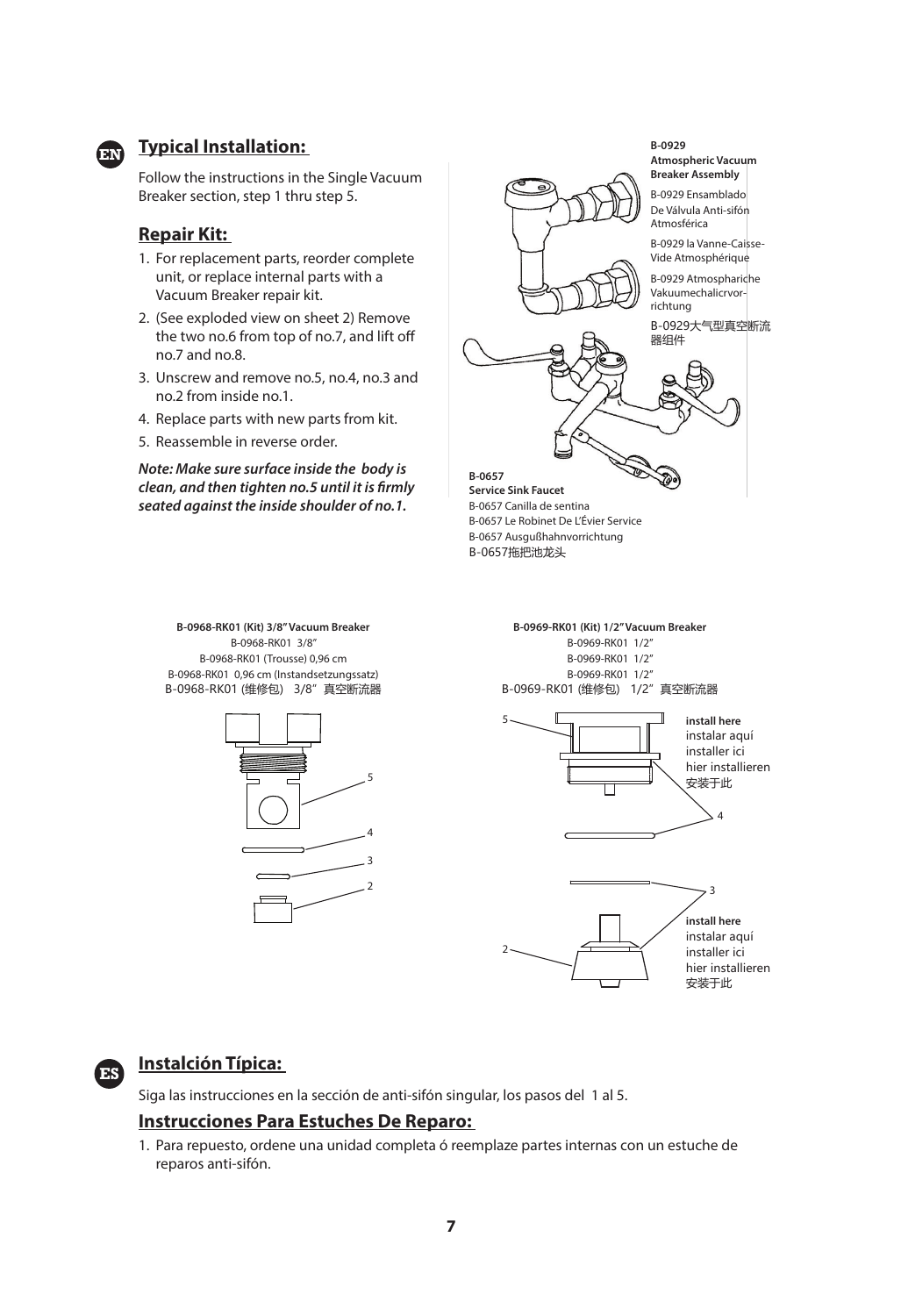

# **Figure 15 Typical Installation:**

Follow the instructions in the Single Vacuum Breaker section, step 1 thru step 5.

#### **Repair Kit:**

- 1. For replacement parts, reorder complete unit, or replace internal parts with a Vacuum Breaker repair kit.
- 2. (See exploded view on sheet 2) Remove the two no.6 from top of no.7, and lift off no.7 and no.8.
- 3. Unscrew and remove no.5, no.4, no.3 and no.2 from inside no.1.
- 4. Replace parts with new parts from kit.
- 5. Reassemble in reverse order.

**Note: Make sure surface inside the body is**  clean, and then tighten no.5 until it is firmly **seated against the inside shoulder of no.1.**



**B-0968-RK01 (Kit) 3/8" Vacuum Breaker** B-0968-RK01 3/8" B-0968-RK01 (Trousse) 0,96 cm B-0968-RK01 0,96 cm (Instandsetzungssatz) B-0968-RK01 (维修包) 3/8"真空断流器



**B-0969-RK01 (Kit) 1/2" Vacuum Breaker** B-0969-RK01 1/2" B-0969-RK01 1/2" B-0969-RK01 1/2" B-0969-RK01 (维修包) 1/2"真空断流器





### **Instalción Típica:**

**ES**

Siga las instrucciones en la sección de anti-sifón singular, los pasos del 1 al 5.

#### **Instrucciones Para Estuches De Reparo:**

1. Para repuesto, ordene una unidad completa ó reemplaze partes internas con un estuche de reparos anti-sifón.

2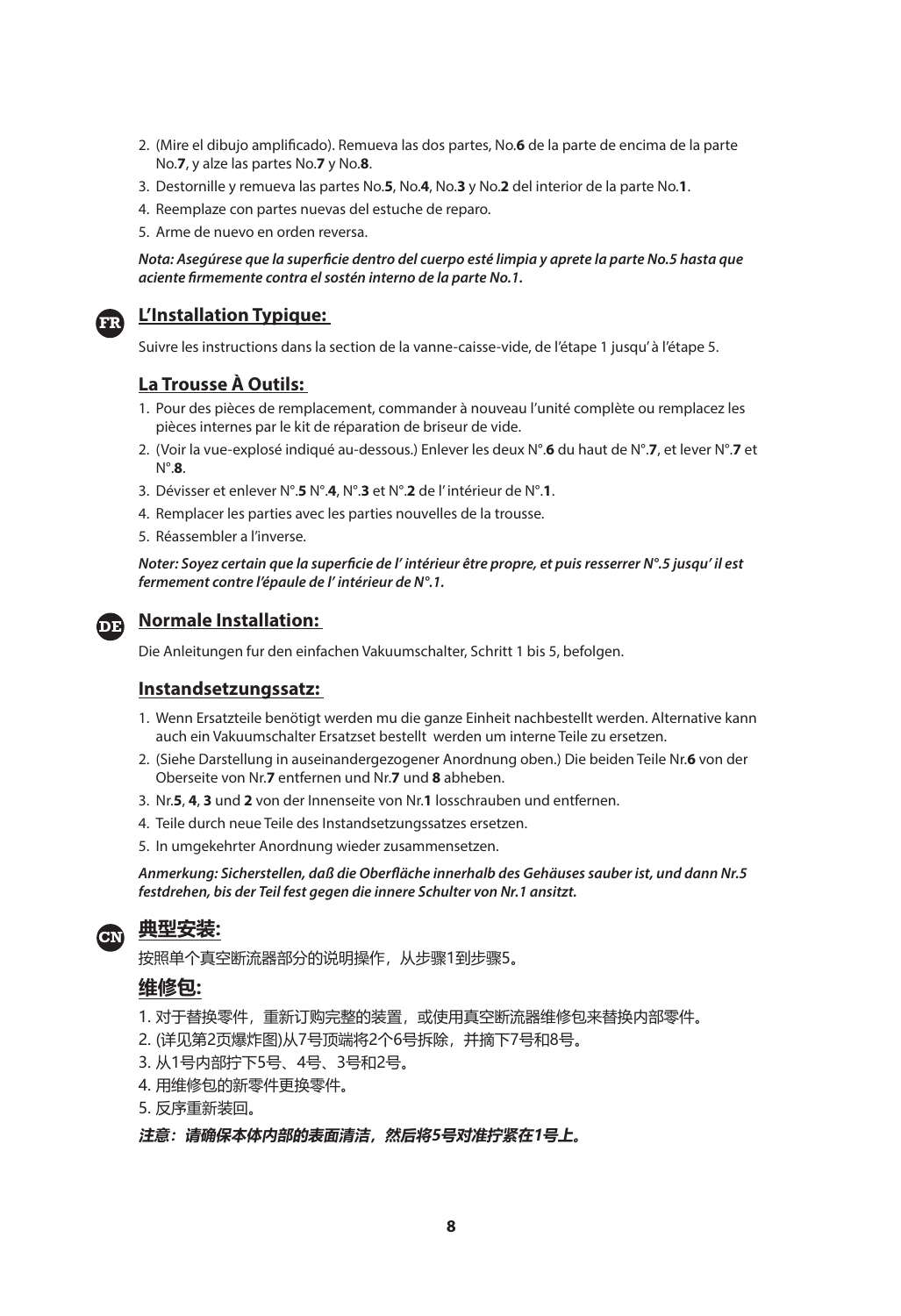- 2. (Mire el dibujo amplificado). Remueva las dos partes, No.6 de la parte de encima de la parte No.**7**, y alze las partes No.**7** y No.**8**.
- 3. Destornille y remueva las partes No.**5**, No.**4**, No.**3** y No.**2** del interior de la parte No.**1**.
- 4. Reemplaze con partes nuevas del estuche de reparo.
- 5. Arme de nuevo en orden reversa.

#### Nota: Asegúrese que la superficie dentro del cuerpo esté limpia y aprete la parte No.5 hasta que **aciente fi rmemente contra el sostén interno de la parte No.1.**



#### **L'Installation Typique:**

Suivre les instructions dans la section de la vanne-caisse-vide, de l'étape 1 jusqu' à l'étape 5.

#### **La Trousse À Outils:**

- 1. Pour des pièces de remplacement, commander à nouveau l'unité complète ou remplacez les pièces internes par le kit de réparation de briseur de vide.
- 2. (Voir la vue-explosé indiqué au-dessous.) Enlever les deux N°.**6** du haut de N°.**7**, et lever N°.**7** et N°.**8**.
- 3. Dévisser et enlever N°.**5** N°.**4**, N°.**3** et N°.**2** de l' intérieur de N°.**1**.
- 4. Remplacer les parties avec les parties nouvelles de la trousse.
- 5. Réassembler a l'inverse.

Noter: Soyez certain que la superficie de l' intérieur être propre, et puis resserrer N°.5 jusqu' il est **fermement contre l'épaule de l' intérieur de N°.1.**



#### **Normale Installation:**

Die Anleitungen fur den einfachen Vakuumschalter, Schritt 1 bis 5, befolgen.

#### **Instandsetzungssatz:**

- 1. Wenn Ersatzteile benötigt werden mu die ganze Einheit nachbestellt werden. Alternative kann auch ein Vakuumschalter Ersatzset bestellt werden um interne Teile zu ersetzen.
- 2. (Siehe Darstellung in auseinandergezogener Anordnung oben.) Die beiden Teile Nr.**6** von der Oberseite von Nr.**7** entfernen und Nr.**7** und **8** abheben.
- 3. Nr.**5**, **4**, **3** und **2** von der Innenseite von Nr.**1** losschrauben und entfernen.
- 4. Teile durch neue Teile des Instandsetzungssatzes ersetzen.
- 5. In umgekehrter Anordnung wieder zusammensetzen.

**Anmerkung: Sicherstellen, daß die Oberfl äche innerhalb des Gehäuses sauber ist, und dann Nr.5 festdrehen, bis der Teil fest gegen die innere Schulter von Nr.1 ansitzt.**

# **典型安装: CN**

按照单个真空断流器部分的说明操作,从步骤1到步骤5。

#### **维修包:**

- 1. 对于替换零件, 重新订购完整的装置, 或使用真空断流器维修包来替换内部零件。
- 2. (详见第2页爆炸图)从7号顶端将2个6号拆除,并摘下7号和8号。
- 3. 从1号内部拧下5号、4号、3号和2号。
- 4. 用维修包的新零件更换零件。
- 5. 反序重新装回。

**注意:请确保本体内部的表面清洁,然后将5号对准拧紧在1号上。**